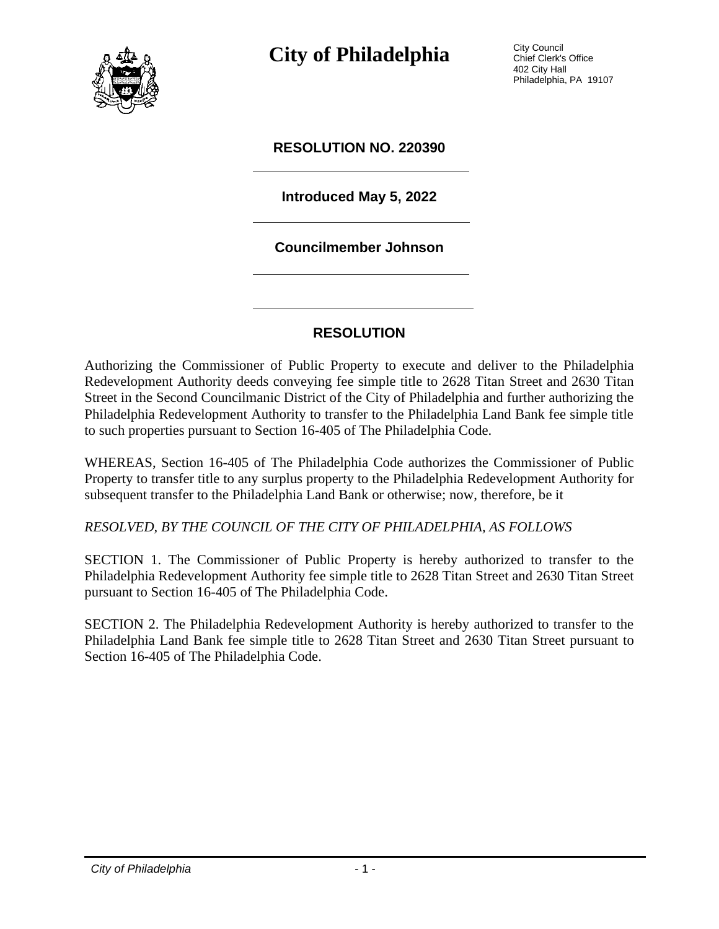

**City of Philadelphia** City Council

Chief Clerk's Office 402 City Hall Philadelphia, PA 19107

### **RESOLUTION NO. 220390**

## **Introduced May 5, 2022**

#### **Councilmember Johnson**

## **RESOLUTION**

Authorizing the Commissioner of Public Property to execute and deliver to the Philadelphia Redevelopment Authority deeds conveying fee simple title to 2628 Titan Street and 2630 Titan Street in the Second Councilmanic District of the City of Philadelphia and further authorizing the Philadelphia Redevelopment Authority to transfer to the Philadelphia Land Bank fee simple title to such properties pursuant to Section 16-405 of The Philadelphia Code.

WHEREAS, Section 16-405 of The Philadelphia Code authorizes the Commissioner of Public Property to transfer title to any surplus property to the Philadelphia Redevelopment Authority for subsequent transfer to the Philadelphia Land Bank or otherwise; now, therefore, be it

*RESOLVED, BY THE COUNCIL OF THE CITY OF PHILADELPHIA, AS FOLLOWS*

SECTION 1. The Commissioner of Public Property is hereby authorized to transfer to the Philadelphia Redevelopment Authority fee simple title to 2628 Titan Street and 2630 Titan Street pursuant to Section 16-405 of The Philadelphia Code.

SECTION 2. The Philadelphia Redevelopment Authority is hereby authorized to transfer to the Philadelphia Land Bank fee simple title to 2628 Titan Street and 2630 Titan Street pursuant to Section 16-405 of The Philadelphia Code.